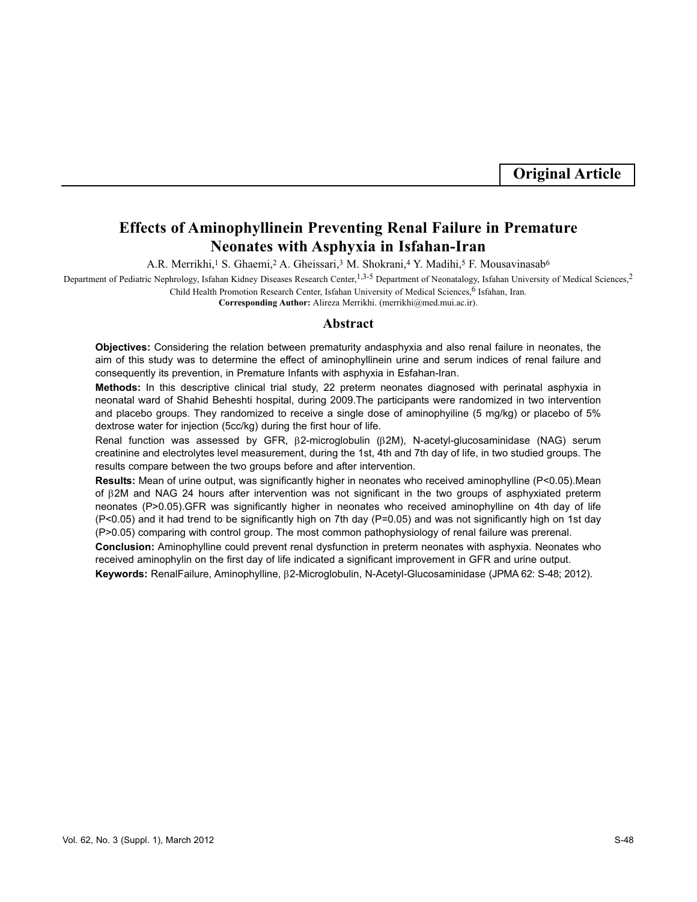**Original Article**

# **Effects of Aminophyllinein Preventing Renal Failure in Premature Neonates with Asphyxia in Isfahan-Iran**

A.R. Merrikhi,<sup>1</sup> S. Ghaemi,<sup>2</sup> A. Gheissari,<sup>3</sup> M. Shokrani,<sup>4</sup> Y. Madihi,<sup>5</sup> F. Mousavinasab<sup>6</sup>

Department of Pediatric Nephrology, Isfahan Kidney Diseases Research Center,<sup>1,3-5</sup> Department of Neonatalogy, Isfahan University of Medical Sciences,<sup>2</sup> Child Health Promotion Research Center, Isfahan University of Medical Sciences, <sup>6</sup> Isfahan, Iran.

**Corresponding Author:** Alireza Merrikhi. (merrikhi@med.mui.ac.ir).

#### **Abstract**

**Objectives:** Considering the relation between prematurity andasphyxia and also renal failure in neonates, the aim of this study was to determine the effect of aminophyllinein urine and serum indices of renal failure and consequently its prevention, in Premature Infants with asphyxia in Esfahan-Iran.

**Methods:** In this descriptive clinical trial study, 22 preterm neonates diagnosed with perinatal asphyxia in neonatal ward of Shahid Beheshti hospital, during 2009.The participants were randomized in two intervention and placebo groups. They randomized to receive a single dose of aminophyiline (5 mg/kg) or placebo of 5% dextrose water for injection (5cc/kg) during the first hour of life.

Renal function was assessed by GFR, β2-microglobulin (β2M), N-acetyl-glucosaminidase (NAG) serum creatinine and electrolytes level measurement, during the 1st, 4th and 7th day of life, in two studied groups. The results compare between the two groups before and after intervention.

**Results:** Mean of urine output, was significantly higher in neonates who received aminophylline (P<0.05).Mean of β2M and NAG 24 hours after intervention was not significant in the two groups of asphyxiated preterm neonates (P>0.05).GFR was significantly higher in neonates who received aminophylline on 4th day of life (P<0.05) and it had trend to be significantly high on 7th day (P=0.05) and was not significantly high on 1st day (P>0.05) comparing with control group. The most common pathophysiology of renal failure was prerenal.

**Conclusion:** Aminophylline could prevent renal dysfunction in preterm neonates with asphyxia. Neonates who received aminophylin on the first day of life indicated a significant improvement in GFR and urine output.

**Keywords:** RenalFailure, Aminophylline, β2-Microglobulin, N-Acetyl-Glucosaminidase (JPMA 62: S-48; 2012).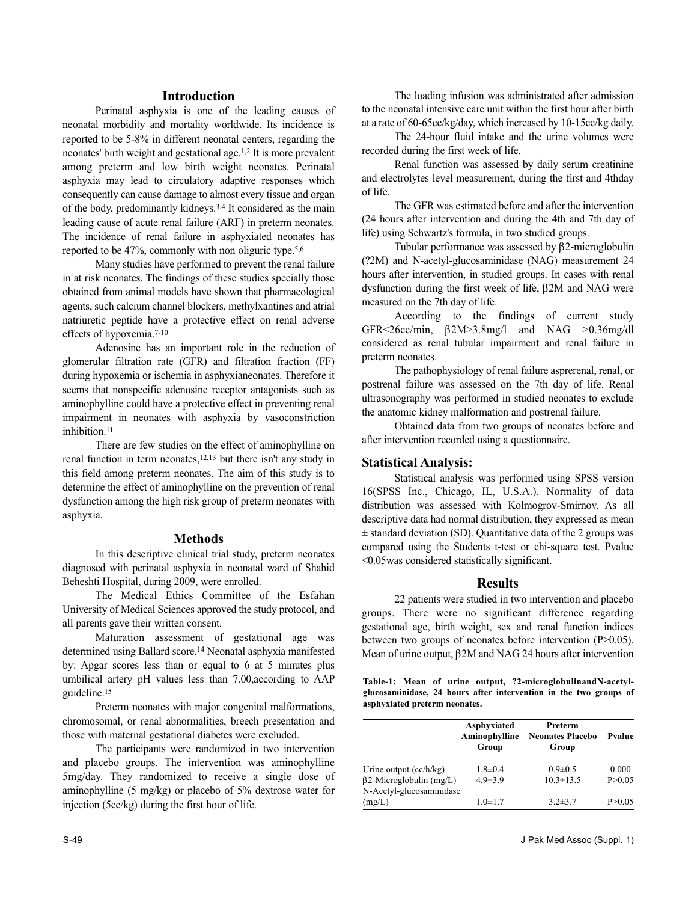## **Introduction**

Perinatal asphyxia is one of the leading causes of neonatal morbidity and mortality worldwide. Its incidence is reported to be 5-8% in different neonatal centers, regarding the neonates' birth weight and gestational age.1,2 It is more prevalent among preterm and low birth weight neonates. Perinatal asphyxia may lead to circulatory adaptive responses which consequently can cause damage to almost every tissue and organ of the body, predominantly kidneys.3,4 It considered as the main leading cause of acute renal failure (ARF) in preterm neonates. The incidence of renal failure in asphyxiated neonates has reported to be 47%, commonly with non oliguric type. 5,6

Many studies have performed to prevent the renal failure in at risk neonates. The findings of these studies specially those obtained from animal models have shown that pharmacological agents, such calcium channel blockers, methylxantines and atrial natriuretic peptide have a protective effect on renal adverse effects of hypoxemia.7-10

Adenosine has an important role in the reduction of glomerular filtration rate (GFR) and filtration fraction (FF) during hypoxemia or ischemia in asphyxianeonates. Therefore it seems that nonspecific adenosine receptor antagonists such as aminophylline could have a protective effect in preventing renal impairment in neonates with asphyxia by vasoconstriction inhibition<sup>11</sup>

There are few studies on the effect of aminophylline on renal function in term neonates,12,13 but there isn't any study in this field among preterm neonates. The aim of this study is to determine the effect of aminophylline on the prevention of renal dysfunction among the high risk group of preterm neonates with asphyxia.

## **Methods**

In this descriptive clinical trial study, preterm neonates diagnosed with perinatal asphyxia in neonatal ward of Shahid Beheshti Hospital, during 2009, were enrolled.

The Medical Ethics Committee of the Esfahan University of Medical Sciences approved the study protocol, and all parents gave their written consent.

Maturation assessment of gestational age was determined using Ballard score.<sup>14</sup> Neonatal asphyxia manifested by: Apgar scores less than or equal to 6 at 5 minutes plus umbilical artery pH values less than 7.00,according to AAP guideline.<sup>15</sup>

Preterm neonates with major congenital malformations, chromosomal, or renal abnormalities, breech presentation and those with maternal gestational diabetes were excluded.

The participants were randomized in two intervention and placebo groups. The intervention was aminophylline 5mg/day. They randomized to receive a single dose of aminophylline (5 mg/kg) or placebo of 5% dextrose water for injection (5cc/kg) during the first hour of life.

The loading infusion was administrated after admission to the neonatal intensive care unit within the first hour after birth at a rate of 60-65cc/kg/day, which increased by 10-15cc/kg daily.

The 24-hour fluid intake and the urine volumes were recorded during the first week of life.

Renal function was assessed by daily serum creatinine and electrolytes level measurement, during the first and 4thday of life.

The GFR was estimated before and after the intervention (24 hours after intervention and during the 4th and 7th day of life) using Schwartz's formula, in two studied groups.

Tubular performance was assessed by β2-microglobulin (?2M) and N-acetyl-glucosaminidase (NAG) measurement 24 hours after intervention, in studied groups. In cases with renal dysfunction during the first week of life, β2M and NAG were measured on the 7th day of life.

According to the findings of current study GFR<26cc/min, β2M>3.8mg/l and NAG >0.36mg/dl considered as renal tubular impairment and renal failure in preterm neonates.

The pathophysiology of renal failure asprerenal, renal, or postrenal failure was assessed on the 7th day of life. Renal ultrasonography was performed in studied neonates to exclude the anatomic kidney malformation and postrenal failure.

Obtained data from two groups of neonates before and after intervention recorded using a questionnaire.

# **Statistical Analysis:**

Statistical analysis was performed using SPSS version 16(SPSS Inc., Chicago, IL, U.S.A.). Normality of data distribution was assessed with Kolmogrov-Smirnov. As all descriptive data had normal distribution, they expressed as mean  $\pm$  standard deviation (SD). Quantitative data of the 2 groups was compared using the Students t-test or chi-square test. Pvalue <0.05was considered statistically significant.

### **Results**

22 patients were studied in two intervention and placebo groups. There were no significant difference regarding gestational age, birth weight, sex and renal function indices between two groups of neonates before intervention (P>0.05). Mean of urine output, β2M and NAG 24 hours after intervention

**Table-1: Mean of urine output, ?2-microglobulinandN-acetylglucosaminidase, 24 hours after intervention in the two groups of asphyxiated preterm neonates.**

|                                                            | Asphyxiated<br>Aminophylline<br>Group | Preterm<br><b>Neonates Placebo</b><br>Group | Pvalue   |
|------------------------------------------------------------|---------------------------------------|---------------------------------------------|----------|
| Urine output $(cc/h/kg)$                                   | $1.8 \pm 0.4$                         | $0.9 \pm 0.5$                               | 0.000    |
| $\beta$ 2-Microglobulin (mg/L)<br>N-Acetyl-glucosaminidase | $4.9 \pm 3.9$                         | $10.3 \pm 13.5$                             | P > 0.05 |
| (mg/L)                                                     | $1.0 + 1.7$                           | $3.2 \pm 3.7$                               | P > 0.05 |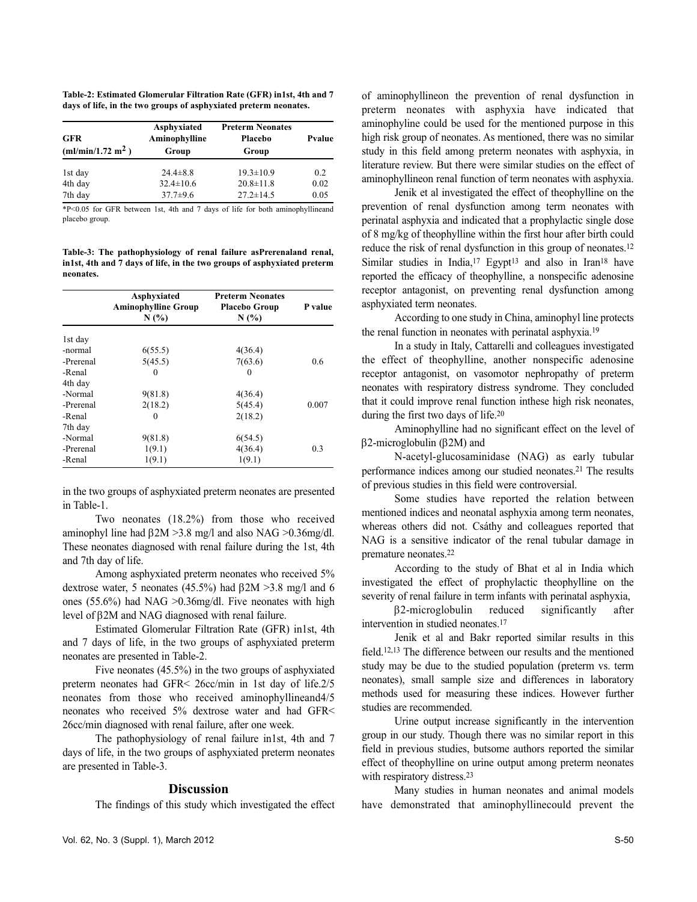**Table-2: Estimated Glomerular Filtration Rate (GFR) in1st, 4th and 7 days of life, in the two groups of asphyxiated preterm neonates.**

| <b>GFR</b><br>(ml/min/1.72 m <sup>2</sup> ) | Asphyxiated<br>Aminophylline<br>Group | <b>Preterm Neonates</b><br>Placebo<br>Group | Pvalue |
|---------------------------------------------|---------------------------------------|---------------------------------------------|--------|
| 1st day                                     | $24.4 \pm 8.8$                        | $19.3 \pm 10.9$                             | 0.2    |
| 4th day                                     | $32.4 \pm 10.6$                       | $20.8 \pm 11.8$                             | 0.02   |
| 7th day                                     | $37.7 \pm 9.6$                        | $27.2 \pm 14.5$                             | 0.05   |

\*P<0.05 for GFR between 1st, 4th and 7 days of life for both aminophyllineand placebo group.

**Table-3: The pathophysiology of renal failure asPrerenaland renal, in1st, 4th and 7 days of life, in the two groups of asphyxiated preterm neonates.**

|           | Asphyxiated<br><b>Aminophylline Group</b><br>N(%) | <b>Preterm Neonates</b><br><b>Placebo Group</b><br>N(%) | P value |
|-----------|---------------------------------------------------|---------------------------------------------------------|---------|
| 1st day   |                                                   |                                                         |         |
| -normal   | 6(55.5)                                           | 4(36.4)                                                 |         |
| -Prerenal | 5(45.5)                                           | 7(63.6)                                                 | 0.6     |
| -Renal    | $_{0}$                                            | $_{0}$                                                  |         |
| 4th day   |                                                   |                                                         |         |
| -Normal   | 9(81.8)                                           | 4(36.4)                                                 |         |
| -Prerenal | 2(18.2)                                           | 5(45.4)                                                 | 0.007   |
| -Renal    | 0                                                 | 2(18.2)                                                 |         |
| 7th day   |                                                   |                                                         |         |
| -Normal   | 9(81.8)                                           | 6(54.5)                                                 |         |
| -Prerenal | 1(9.1)                                            | 4(36.4)                                                 | 0.3     |
| -Renal    | 1(9.1)                                            | 1(9.1)                                                  |         |

in the two groups of asphyxiated preterm neonates are presented in Table-1.

Two neonates (18.2%) from those who received aminophyl line had β2M >3.8 mg/l and also NAG >0.36mg/dl. These neonates diagnosed with renal failure during the 1st, 4th and 7th day of life.

Among asphyxiated preterm neonates who received 5% dextrose water, 5 neonates (45.5%) had β2M >3.8 mg/l and 6 ones (55.6%) had NAG >0.36mg/dl. Five neonates with high level of β2M and NAG diagnosed with renal failure.

Estimated Glomerular Filtration Rate (GFR) in1st, 4th and 7 days of life, in the two groups of asphyxiated preterm neonates are presented in Table-2.

Five neonates (45.5%) in the two groups of asphyxiated preterm neonates had GFR< 26cc/min in 1st day of life.2/5 neonates from those who received aminophyllineand4/5 neonates who received 5% dextrose water and had GFR< 26cc/min diagnosed with renal failure, after one week.

The pathophysiology of renal failure in1st, 4th and 7 days of life, in the two groups of asphyxiated preterm neonates are presented in Table-3.

# **Discussion**

The findings of this study which investigated the effect

of aminophyllineon the prevention of renal dysfunction in preterm neonates with asphyxia have indicated that aminophyline could be used for the mentioned purpose in this high risk group of neonates. As mentioned, there was no similar study in this field among preterm neonates with asphyxia, in literature review. But there were similar studies on the effect of aminophyllineon renal function of term neonates with asphyxia.

Jenik et al investigated the effect of theophylline on the prevention of renal dysfunction among term neonates with perinatal asphyxia and indicated that a prophylactic single dose of 8 mg/kg of theophylline within the first hour after birth could reduce the risk of renal dysfunction in this group of neonates.<sup>12</sup> Similar studies in India,<sup>17</sup> Egypt<sup>13</sup> and also in Iran<sup>18</sup> have reported the efficacy of theophylline, a nonspecific adenosine receptor antagonist, on preventing renal dysfunction among asphyxiated term neonates.

According to one study in China, aminophyl line protects the renal function in neonates with perinatal asphyxia.<sup>19</sup>

In a study in Italy, Cattarelli and colleagues investigated the effect of theophylline, another nonspecific adenosine receptor antagonist, on vasomotor nephropathy of preterm neonates with respiratory distress syndrome. They concluded that it could improve renal function inthese high risk neonates, during the first two days of life.<sup>20</sup>

Aminophylline had no significant effect on the level of β2-microglobulin (β2M) and

N-acetyl-glucosaminidase (NAG) as early tubular performance indices among our studied neonates.<sup>21</sup> The results of previous studies in this field were controversial.

Some studies have reported the relation between mentioned indices and neonatal asphyxia among term neonates, whereas others did not. Csáthy and colleagues reported that NAG is a sensitive indicator of the renal tubular damage in premature neonates.<sup>22</sup>

According to the study of Bhat et al in India which investigated the effect of prophylactic theophylline on the severity of renal failure in term infants with perinatal asphyxia,

β2-microglobulin reduced significantly after intervention in studied neonates.<sup>17</sup>

Jenik et al and Bakr reported similar results in this field.12,13 The difference between our results and the mentioned study may be due to the studied population (preterm vs. term neonates), small sample size and differences in laboratory methods used for measuring these indices. However further studies are recommended.

Urine output increase significantly in the intervention group in our study. Though there was no similar report in this field in previous studies, butsome authors reported the similar effect of theophylline on urine output among preterm neonates with respiratory distress.<sup>23</sup>

Many studies in human neonates and animal models have demonstrated that aminophyllinecould prevent the